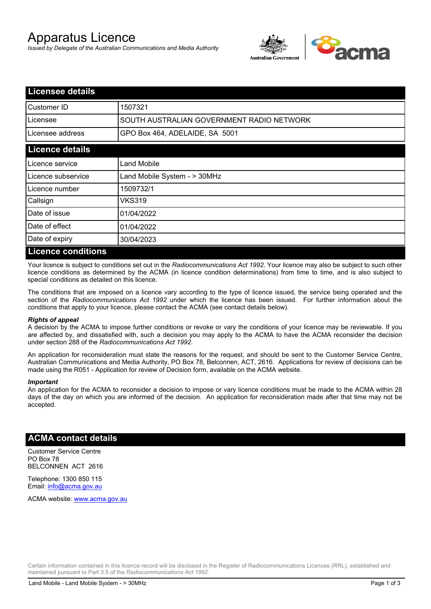# Apparatus Licence

*Issued by Delegate of the Australian Communications and Media Authority*



| <b>Licensee details</b>   |                                           |  |
|---------------------------|-------------------------------------------|--|
| Customer ID               | 1507321                                   |  |
| Licensee                  | SOUTH AUSTRALIAN GOVERNMENT RADIO NETWORK |  |
| Licensee address          | GPO Box 464, ADELAIDE, SA 5001            |  |
| <b>Licence details</b>    |                                           |  |
| Licence service           | Land Mobile                               |  |
| Licence subservice        | Land Mobile System - > 30MHz              |  |
| Licence number            | 1509732/1                                 |  |
| Callsign                  | VKS319                                    |  |
| Date of issue             | 01/04/2022                                |  |
| Date of effect            | 01/04/2022                                |  |
| Date of expiry            | 30/04/2023                                |  |
| <b>Licence conditions</b> |                                           |  |

Your licence is subject to conditions set out in the *Radiocommunications Act 1992*. Your licence may also be subject to such other licence conditions as determined by the ACMA (in licence condition determinations) from time to time, and is also subject to special conditions as detailed on this licence.

The conditions that are imposed on a licence vary according to the type of licence issued, the service being operated and the section of the *Radiocommunications Act 1992* under which the licence has been issued. For further information about the conditions that apply to your licence, please contact the ACMA (see contact details below).

#### *Rights of appeal*

A decision by the ACMA to impose further conditions or revoke or vary the conditions of your licence may be reviewable. If you are affected by, and dissatisfied with, such a decision you may apply to the ACMA to have the ACMA reconsider the decision under section 288 of the *Radiocommunications Act 1992*.

An application for reconsideration must state the reasons for the request, and should be sent to the Customer Service Centre, Australian Communications and Media Authority, PO Box 78, Belconnen, ACT, 2616. Applications for review of decisions can be made using the R051 - Application for review of Decision form, available on the ACMA website.

#### *Important*

An application for the ACMA to reconsider a decision to impose or vary licence conditions must be made to the ACMA within 28 days of the day on which you are informed of the decision. An application for reconsideration made after that time may not be accepted.

### **ACMA contact details**

Customer Service Centre PO Box 78 BELCONNEN ACT 2616

Telephone: 1300 850 115 Email: info@acma.gov.au

ACMA website: www.acma.gov.au

Certain information contained in this licence record will be disclosed in the Register of Radiocommunications Licences (RRL), established and maintained pursuant to Part 3.5 of the *Radiocommunications Act 1992.*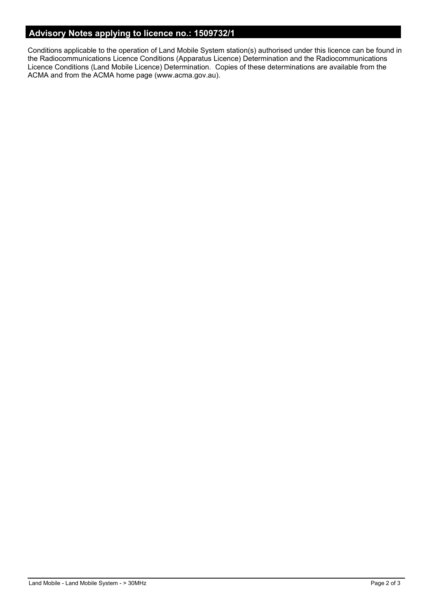## **Advisory Notes applying to licence no.: 1509732/1**

Conditions applicable to the operation of Land Mobile System station(s) authorised under this licence can be found in the Radiocommunications Licence Conditions (Apparatus Licence) Determination and the Radiocommunications Licence Conditions (Land Mobile Licence) Determination. Copies of these determinations are available from the ACMA and from the ACMA home page (www.acma.gov.au).